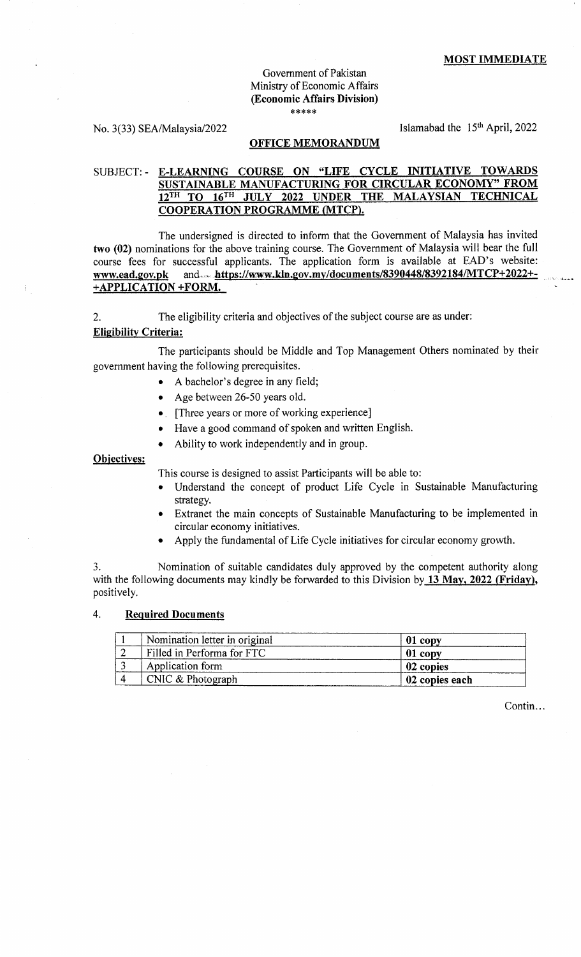### Government of Pakistan Ministry of Economic Affairs (Economic Affairs Division) \*\*\*\*\*

No. 3(33) SEA/Malaysia/2022 Islamabad the  $15<sup>th</sup>$  April, 2022

### OFFICE MEMORANDUM

# SUBJECT: - E.LEARNING COURSE ON "LIFE CYCLE INITIATIVE TOWARDS SUSTAINABLE MANUFACTURING FOR CIRCULAR ECONOMY'' FROM  $12^{TH}$  TO  $16^{TH}$  JULY 2022 UNDER THE MALAYSIAN TECHNICAL COOPERATION PROGRAMME (MTCP).

The undersigned is directed to inform that the Government of Malaysia has invited two (02) nominations for the above training course. The Government of Malaysia will bear the full course fees for successful applicants, The application form is available at EAD's website: www.ead.gov.pk and.... https://www.kln.gov.my/documents/8390448/8392184/MTCP+2022+-+APPLICATION +FORM.

2. The eligibility criteria and objectives of the subject course are as under:

## Eligibility Criteria:

The participants should be Middle and Top Management Others nominated by their government having the following prerequisites.

- A bachelor's degree in any field;
- Age between 26-50 years old.
- [Three years or more of working experience]
- Have a good command of spoken and written English.
- Ability to work independently and in group.

Obiectives:

This course is designed to assist Participants will be able to:

- Understand the concept of product Life Cycle in Sustainable Manufacturing strategy.
- Extranet the main concepts of Sustainable Manufacturing to be implemented in circular economy initiatives.
- Apply the fundamental of Life Cycle initiatives for circular economy growth.

3. Nomination of suitable candidates duly approved by the competent authority along with the following documents may kindly be forwarded to this Division by 13 May, 2022 (Friday), positively.

## 4. Required Documents

| Nomination letter in original | 01 copy        |
|-------------------------------|----------------|
| Filled in Performa for FTC    | $01$ copy      |
| Application form              | 02 copies      |
| CNIC & Photograph             | 02 copies each |

Contin...